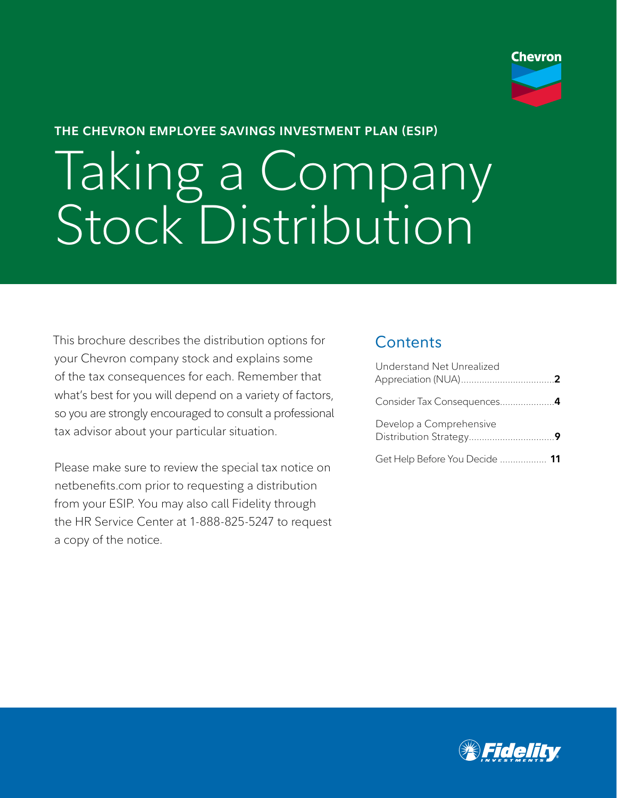

#### **THE CHEVRON EMPLOYEE SAVINGS INVESTMENT PLAN (ESIP)**

# Taking a Company Stock Distribution

This brochure describes the distribution options for your Chevron company stock and explains some of the tax consequences for each. Remember that what's best for you will depend on a variety of factors, so you are strongly encouraged to consult a professional tax advisor about your particular situation.

Please make sure to review the special tax notice on netbenefits.com prior to requesting a distribution from your ESIP. You may also call Fidelity through the HR Service Center at 1-888-825-5247 to request a copy of the notice.

## **Contents**

| Understand Net Unrealized      |  |
|--------------------------------|--|
|                                |  |
| Develop a Comprehensive        |  |
| Get Help Before You Decide  11 |  |

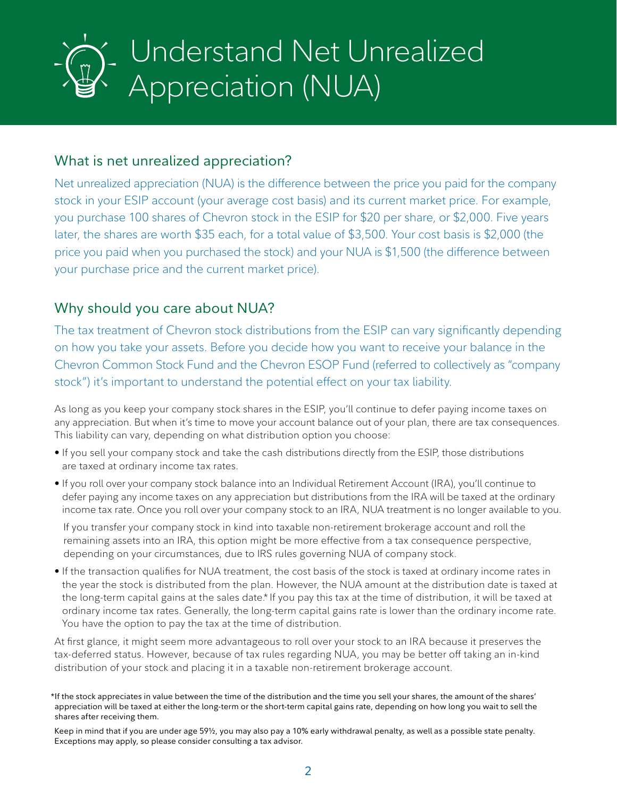## Understand Net Unrealized Appreciation (NUA)

## What is net unrealized appreciation?

Net unrealized appreciation (NUA) is the difference between the price you paid for the company stock in your ESIP account (your average cost basis) and its current market price. For example, you purchase 100 shares of Chevron stock in the ESIP for \$20 per share, or \$2,000. Five years later, the shares are worth \$35 each, for a total value of \$3,500. Your cost basis is \$2,000 (the price you paid when you purchased the stock) and your NUA is \$1,500 (the difference between your purchase price and the current market price).

## Why should you care about NUA?

The tax treatment of Chevron stock distributions from the ESIP can vary significantly depending on how you take your assets. Before you decide how you want to receive your balance in the Chevron Common Stock Fund and the Chevron ESOP Fund (referred to collectively as "company stock") it's important to understand the potential effect on your tax liability.

As long as you keep your company stock shares in the ESIP, you'll continue to defer paying income taxes on any appreciation. But when it's time to move your account balance out of your plan, there are tax consequences. This liability can vary, depending on what distribution option you choose:

- If you sell your company stock and take the cash distributions directly from the ESIP, those distributions are taxed at ordinary income tax rates.
- If you roll over your company stock balance into an Individual Retirement Account (IRA), you'll continue to defer paying any income taxes on any appreciation but distributions from the IRA will be taxed at the ordinary income tax rate. Once you roll over your company stock to an IRA, NUA treatment is no longer available to you.

If you transfer your company stock in kind into taxable non-retirement brokerage account and roll the remaining assets into an IRA, this option might be more effective from a tax consequence perspective, depending on your circumstances, due to IRS rules governing NUA of company stock.

• If the transaction qualifies for NUA treatment, the cost basis of the stock is taxed at ordinary income rates in the year the stock is distributed from the plan. However, the NUA amount at the distribution date is taxed at the long-term capital gains at the sales date.\* If you pay this tax at the time of distribution, it will be taxed at ordinary income tax rates. Generally, the long-term capital gains rate is lower than the ordinary income rate. You have the option to pay the tax at the time of distribution.

At first glance, it might seem more advantageous to roll over your stock to an IRA because it preserves the tax-deferred status. However, because of tax rules regarding NUA, you may be better off taking an in-kind distribution of your stock and placing it in a taxable non-retirement brokerage account.

<sup>\*</sup>If the stock appreciates in value between the time of the distribution and the time you sell your shares, the amount of the shares' appreciation will be taxed at either the long-term or the short-term capital gains rate, depending on how long you wait to sell the shares after receiving them.

Keep in mind that if you are under age 59½, you may also pay a 10% early withdrawal penalty, as well as a possible state penalty. Exceptions may apply, so please consider consulting a tax advisor.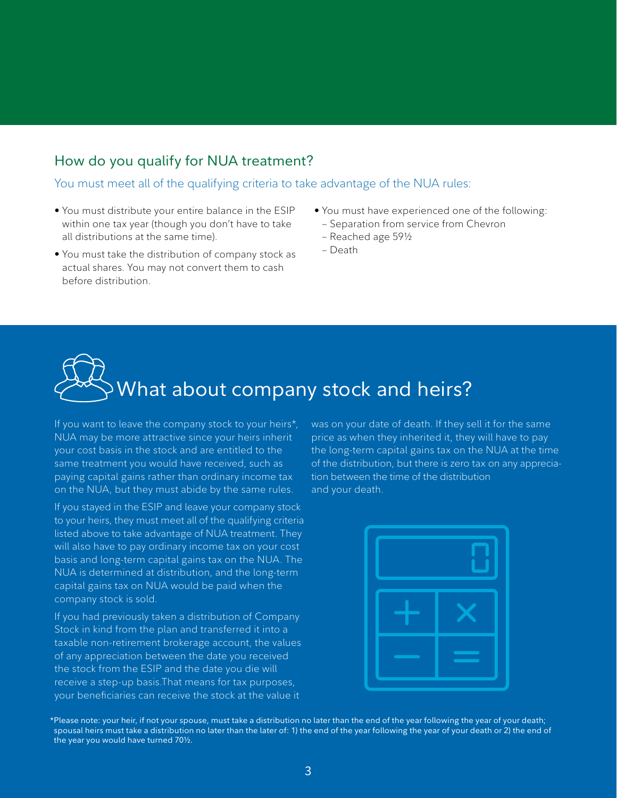### How do you qualify for NUA treatment?

You must meet all of the qualifying criteria to take advantage of the NUA rules:

- You must distribute your entire balance in the ESIP within one tax year (though you don't have to take all distributions at the same time).
- You must take the distribution of company stock as actual shares. You may not convert them to cash before distribution.
- You must have experienced one of the following:
- Separation from service from Chevron
- Reached age 59½
- Death

## What about company stock and heirs?

If you want to leave the company stock to your heirs\*, NUA may be more attractive since your heirs inherit your cost basis in the stock and are entitled to the same treatment you would have received, such as paying capital gains rather than ordinary income tax on the NUA, but they must abide by the same rules.

If you stayed in the ESIP and leave your company stock to your heirs, they must meet all of the qualifying criteria listed above to take advantage of NUA treatment. They will also have to pay ordinary income tax on your cost basis and long-term capital gains tax on the NUA. The NUA is determined at distribution, and the long-term capital gains tax on NUA would be paid when the company stock is sold.

If you had previously taken a distribution of Company Stock in kind from the plan and transferred it into a taxable non-retirement brokerage account, the values of any appreciation between the date you received the stock from the ESIP and the date you die will receive a step-up basis.That means for tax purposes, your beneficiaries can receive the stock at the value it

was on your date of death. If they sell it for the same price as when they inherited it, they will have to pay the long-term capital gains tax on the NUA at the time of the distribution, but there is zero tax on any appreciation between the time of the distribution and your death.



\*Please note: your heir, if not your spouse, must take a distribution no later than the end of the year following the year of your death; spousal heirs must take a distribution no later than the later of: 1) the end of the year following the year of your death or 2) the end of the year you would have turned 70½.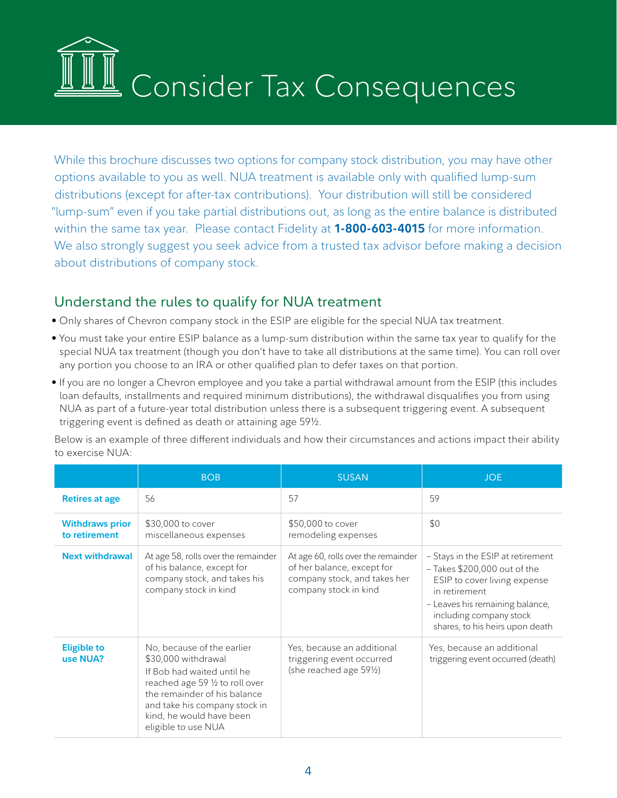

While this brochure discusses two options for company stock distribution, you may have other options available to you as well. NUA treatment is available only with qualified lump-sum distributions (except for after-tax contributions). Your distribution will still be considered "lump-sum" even if you take partial distributions out, as long as the entire balance is distributed within the same tax year. Please contact Fidelity at **1-800-603-4015** for more information. We also strongly suggest you seek advice from a trusted tax advisor before making a decision about distributions of company stock.

## Understand the rules to qualify for NUA treatment

- Only shares of Chevron company stock in the ESIP are eligible for the special NUA tax treatment.
- You must take your entire ESIP balance as a lump-sum distribution within the same tax year to qualify for the special NUA tax treatment (though you don't have to take all distributions at the same time). You can roll over any portion you choose to an IRA or other qualified plan to defer taxes on that portion.
- If you are no longer a Chevron employee and you take a partial withdrawal amount from the ESIP (this includes loan defaults, installments and required minimum distributions), the withdrawal disqualifies you from using NUA as part of a future-year total distribution unless there is a subsequent triggering event. A subsequent triggering event is defined as death or attaining age 59½.

Below is an example of three different individuals and how their circumstances and actions impact their ability to exercise NUA:

|                                         | <b>BOB</b>                                                                                                                                                                                                                             | <b>SUSAN</b>                                                                                                               | <b>JOE</b>                                                                                                                                                                                                            |
|-----------------------------------------|----------------------------------------------------------------------------------------------------------------------------------------------------------------------------------------------------------------------------------------|----------------------------------------------------------------------------------------------------------------------------|-----------------------------------------------------------------------------------------------------------------------------------------------------------------------------------------------------------------------|
| <b>Retires at age</b>                   | 56                                                                                                                                                                                                                                     | 57                                                                                                                         | 59                                                                                                                                                                                                                    |
| <b>Withdraws prior</b><br>to retirement | \$30,000 to cover<br>miscellaneous expenses                                                                                                                                                                                            | \$50,000 to cover<br>remodeling expenses                                                                                   | \$0                                                                                                                                                                                                                   |
| <b>Next withdrawal</b>                  | At age 58, rolls over the remainder<br>of his balance, except for<br>company stock, and takes his<br>company stock in kind                                                                                                             | At age 60, rolls over the remainder<br>of her balance, except for<br>company stock, and takes her<br>company stock in kind | - Stays in the ESIP at retirement<br>$-$ Takes \$200,000 out of the<br>ESIP to cover living expense<br>in retirement<br>- Leaves his remaining balance,<br>including company stock<br>shares, to his heirs upon death |
| <b>Eligible to</b><br>use NUA?          | No, because of the earlier<br>\$30,000 withdrawal<br>If Bob had waited until he<br>reached age 59 1/2 to roll over<br>the remainder of his balance<br>and take his company stock in<br>kind, he would have been<br>eligible to use NUA | Yes, because an additional<br>triggering event occurred<br>(she reached age 591⁄2)                                         | Yes, because an additional<br>triggering event occurred (death)                                                                                                                                                       |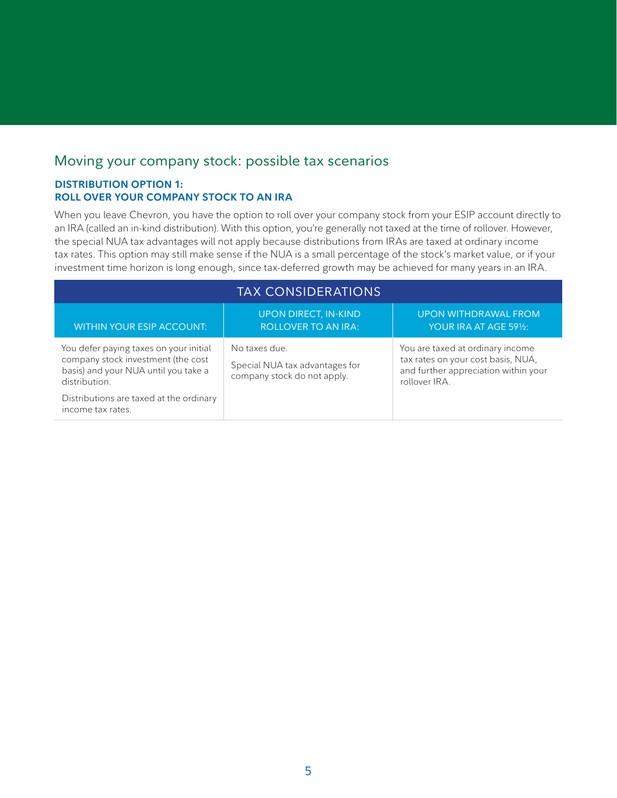## Moving your company stock: possible tax scenarios

#### **DISTRIBUTION OPTION 1: ROLL OVER YOUR COMPANY STOCK TO AN IRA**

When you leave Chevron, you have the option to roll over your company stock from your ESIP account directly to an IRA (called an in-kind distribution). With this option, you're generally not taxed at the time of rollover. However, the special NUA tax advantages will not apply because distributions from IRAs are taxed at ordinary income tax rates. This option may still make sense if the NUA is a small percentage of the stock's market value, or if your investment time horizon is long enough, since tax-deferred growth may be achieved for many years in an IRA.

| <b>TAX CONSIDERATIONS</b>                                                                                                             |                                                                                |                                                                                                                                 |  |
|---------------------------------------------------------------------------------------------------------------------------------------|--------------------------------------------------------------------------------|---------------------------------------------------------------------------------------------------------------------------------|--|
| <b>WITHIN YOUR ESIP ACCOUNT:</b>                                                                                                      | <b>UPON DIRECT, IN-KIND</b><br><b>ROLLOVER TO AN IRA:</b>                      | <b>UPON WITHDRAWAL FROM</b><br>YOUR IRA AT AGE 591/2:                                                                           |  |
| You defer paying taxes on your initial<br>company stock investment (the cost<br>basis) and your NUA until you take a<br>distribution. | No taxes due.<br>Special NUA tax advantages for<br>company stock do not apply. | You are taxed at ordinary income<br>tax rates on your cost basis, NUA,<br>and further appreciation within your<br>rollover IRA. |  |
| Distributions are taxed at the ordinary<br>income tax rates.                                                                          |                                                                                |                                                                                                                                 |  |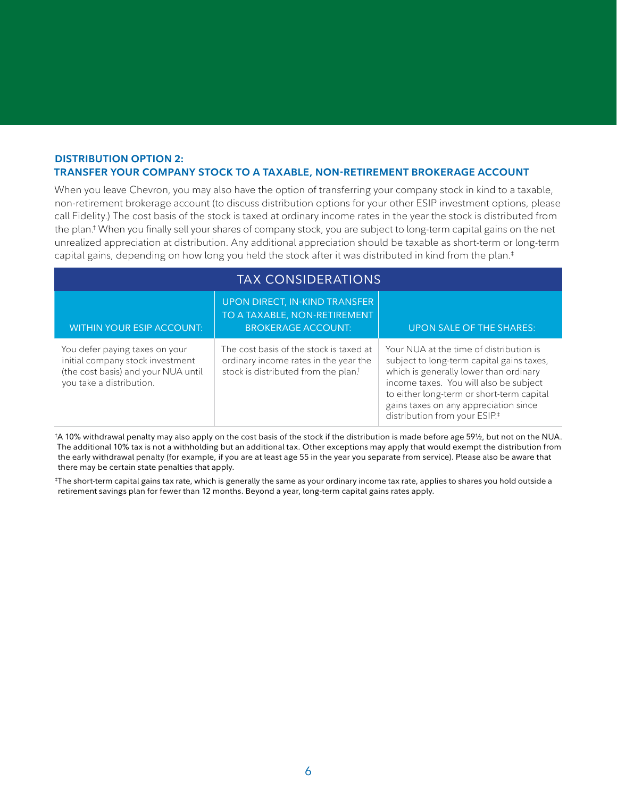#### **DISTRIBUTION OPTION 2: TRANSFER YOUR COMPANY STOCK TO A TAXABLE, NON-RETIREMENT BROKERAGE ACCOUNT**

When you leave Chevron, you may also have the option of transferring your company stock in kind to a taxable, non-retirement brokerage account (to discuss distribution options for your other ESIP investment options, please call Fidelity.) The cost basis of the stock is taxed at ordinary income rates in the year the stock is distributed from the plan.† When you finally sell your shares of company stock, you are subject to long-term capital gains on the net unrealized appreciation at distribution. Any additional appreciation should be taxable as short-term or long-term capital gains, depending on how long you held the stock after it was distributed in kind from the plan.‡

| <b>TAX CONSIDERATIONS</b>                                                                                                             |                                                                                                                                      |                                                                                                                                                                                                                                                                                                             |  |
|---------------------------------------------------------------------------------------------------------------------------------------|--------------------------------------------------------------------------------------------------------------------------------------|-------------------------------------------------------------------------------------------------------------------------------------------------------------------------------------------------------------------------------------------------------------------------------------------------------------|--|
| <b>WITHIN YOUR ESIP ACCOUNT:</b>                                                                                                      | UPON DIRECT, IN-KIND TRANSFER<br>TO A TAXABLE, NON-RETIREMENT<br><b>BROKERAGE ACCOUNT:</b>                                           | <b>UPON SALE OF THE SHARES:</b>                                                                                                                                                                                                                                                                             |  |
| You defer paying taxes on your<br>initial company stock investment<br>(the cost basis) and your NUA until<br>you take a distribution. | The cost basis of the stock is taxed at<br>ordinary income rates in the year the<br>stock is distributed from the plan. <sup>†</sup> | Your NUA at the time of distribution is<br>subject to long-term capital gains taxes,<br>which is generally lower than ordinary<br>income taxes. You will also be subject<br>to either long-term or short-term capital<br>gains taxes on any appreciation since<br>distribution from your ESIP. <sup>#</sup> |  |

† A 10% withdrawal penalty may also apply on the cost basis of the stock if the distribution is made before age 59½, but not on the NUA. The additional 10% tax is not a withholding but an additional tax. Other exceptions may apply that would exempt the distribution from the early withdrawal penalty (for example, if you are at least age 55 in the year you separate from service). Please also be aware that there may be certain state penalties that apply.

‡ The short-term capital gains tax rate, which is generally the same as your ordinary income tax rate, applies to shares you hold outside a retirement savings plan for fewer than 12 months. Beyond a year, long-term capital gains rates apply.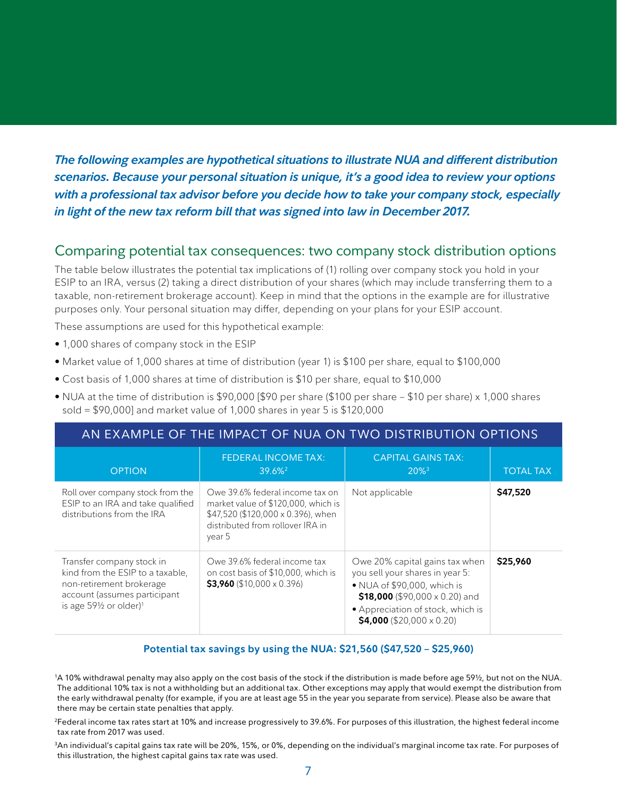*The following examples are hypothetical situations to illustrate NUA and different distribution scenarios. Because your personal situation is unique, it's a good idea to review your options with a professional tax advisor before you decide how to take your company stock, especially in light of the new tax reform bill that was signed into law in December 2017.*

### Comparing potential tax consequences: two company stock distribution options

The table below illustrates the potential tax implications of (1) rolling over company stock you hold in your ESIP to an IRA, versus (2) taking a direct distribution of your shares (which may include transferring them to a taxable, non-retirement brokerage account). Keep in mind that the options in the example are for illustrative purposes only. Your personal situation may differ, depending on your plans for your ESIP account.

These assumptions are used for this hypothetical example:

- 1,000 shares of company stock in the ESIP
- Market value of 1,000 shares at time of distribution (year 1) is \$100 per share, equal to \$100,000
- Cost basis of 1,000 shares at time of distribution is \$10 per share, equal to \$10,000
- NUA at the time of distribution is \$90,000 [\$90 per share (\$100 per share \$10 per share) x 1,000 shares sold = \$90,000] and market value of 1,000 shares in year 5 is \$120,000

| AN EXAMPLE OF THE IMPACT OF NUA ON TWO DISTRIBUTION OPTIONS                                                                                                                |                                                                                                                                                            |                                                                                                                                                                                                                    |                  |
|----------------------------------------------------------------------------------------------------------------------------------------------------------------------------|------------------------------------------------------------------------------------------------------------------------------------------------------------|--------------------------------------------------------------------------------------------------------------------------------------------------------------------------------------------------------------------|------------------|
| <b>OPTION</b>                                                                                                                                                              | <b>FEDERAL INCOME TAX:</b><br>39.6%                                                                                                                        | <b>CAPITAL GAINS TAX:</b><br>$20\%$ <sup>3</sup>                                                                                                                                                                   | <b>TOTAL TAX</b> |
| Roll over company stock from the<br>ESIP to an IRA and take qualified<br>distributions from the IRA                                                                        | Owe 39.6% federal income tax on<br>market value of \$120,000, which is<br>\$47,520 (\$120,000 x 0.396), when<br>distributed from rollover IRA in<br>year 5 | Not applicable                                                                                                                                                                                                     | \$47,520         |
| Transfer company stock in<br>kind from the ESIP to a taxable,<br>non-retirement brokerage<br>account (assumes participant<br>is age $59\frac{1}{2}$ or older) <sup>1</sup> | Owe 39.6% federal income tax<br>on cost basis of \$10,000, which is<br>$$3,960$ (\$10,000 x 0.396)                                                         | Owe 20% capital gains tax when<br>you sell your shares in year 5:<br>• NUA of \$90,000, which is<br>\$18,000 (\$90,000 $\times$ 0.20) and<br>• Appreciation of stock, which is<br>\$4,000 (\$20,000 $\times$ 0.20) | \$25,960         |

#### **Potential tax savings by using the NUA: \$21,560 (\$47,520 – \$25,960)**

1 A 10% withdrawal penalty may also apply on the cost basis of the stock if the distribution is made before age 59½, but not on the NUA. The additional 10% tax is not a withholding but an additional tax. Other exceptions may apply that would exempt the distribution from the early withdrawal penalty (for example, if you are at least age 55 in the year you separate from service). Please also be aware that there may be certain state penalties that apply.

2Federal income tax rates start at 10% and increase progressively to 39.6%. For purposes of this illustration, the highest federal income tax rate from 2017 was used.

3An individual's capital gains tax rate will be 20%, 15%, or 0%, depending on the individual's marginal income tax rate. For purposes of this illustration, the highest capital gains tax rate was used.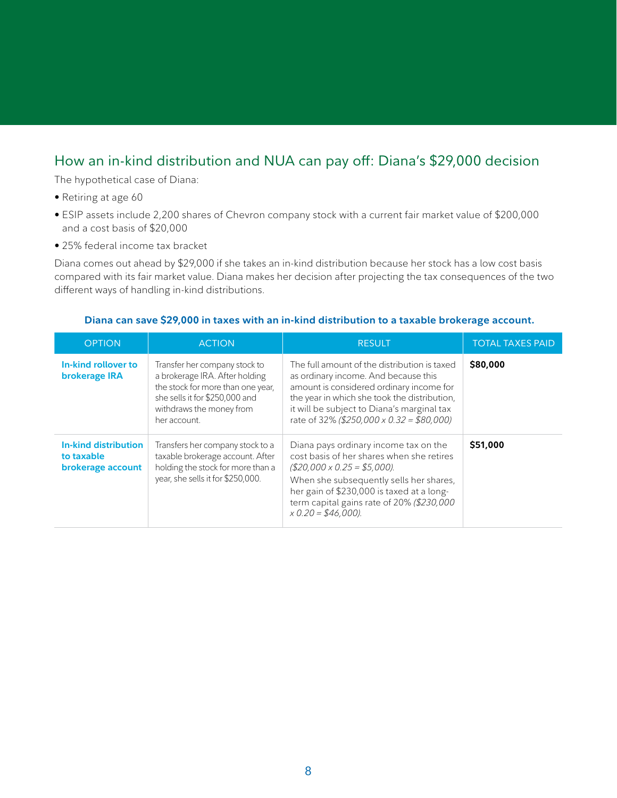## How an in-kind distribution and NUA can pay off: Diana's \$29,000 decision

The hypothetical case of Diana:

- Retiring at age 60
- ESIP assets include 2,200 shares of Chevron company stock with a current fair market value of \$200,000 and a cost basis of \$20,000
- 25% federal income tax bracket

Diana comes out ahead by \$29,000 if she takes an in-kind distribution because her stock has a low cost basis compared with its fair market value. Diana makes her decision after projecting the tax consequences of the two different ways of handling in-kind distributions.

#### **Diana can save \$29,000 in taxes with an in-kind distribution to a taxable brokerage account.**

| <b>OPTION</b>                                           | <b>ACTION</b>                                                                                                                                                                      | <b>RESULT</b>                                                                                                                                                                                                                                                                      | <b>TOTAL TAXES PAID</b> |
|---------------------------------------------------------|------------------------------------------------------------------------------------------------------------------------------------------------------------------------------------|------------------------------------------------------------------------------------------------------------------------------------------------------------------------------------------------------------------------------------------------------------------------------------|-------------------------|
| In-kind rollover to<br>brokerage IRA                    | Transfer her company stock to<br>a brokerage IRA. After holding<br>the stock for more than one year,<br>she sells it for \$250,000 and<br>withdraws the money from<br>her account. | The full amount of the distribution is taxed<br>as ordinary income. And because this<br>amount is considered ordinary income for<br>the year in which she took the distribution,<br>it will be subject to Diana's marginal tax<br>rate of 32% (\$250,000 x 0.32 = \$80,000)        | \$80,000                |
| In-kind distribution<br>to taxable<br>brokerage account | Transfers her company stock to a<br>taxable brokerage account. After<br>holding the stock for more than a<br>year, she sells it for \$250,000.                                     | Diana pays ordinary income tax on the<br>cost basis of her shares when she retires<br>$(S20,000 \times 0.25 = $5,000)$<br>When she subsequently sells her shares,<br>her gain of \$230,000 is taxed at a long-<br>term capital gains rate of 20% (\$230,000<br>$x 0.20 = $46,000.$ | \$51,000                |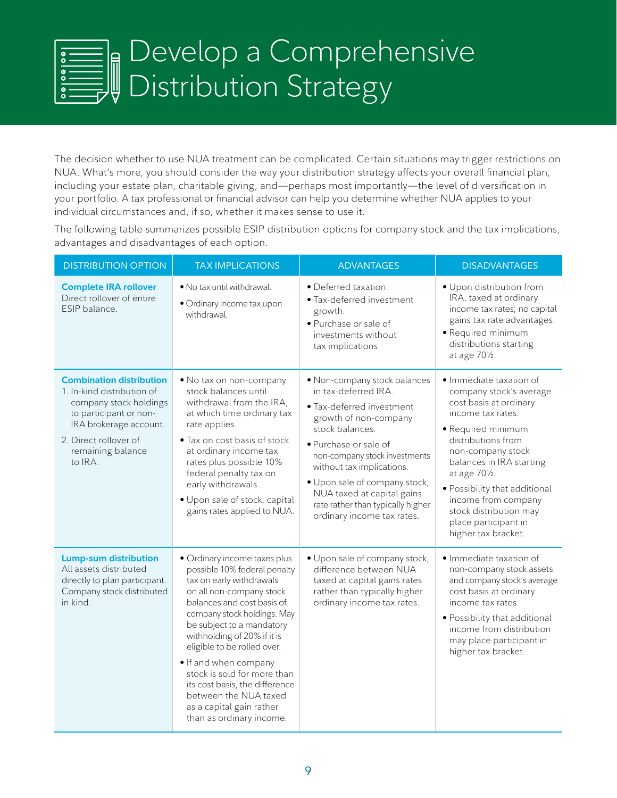## Develop a Comprehensive  $\begin{array}{c} \begin{array}{c} \text{0} \\ \text{1} \\ \text{2} \end{array} \end{array}$ Distribution Strategy

The decision whether to use NUA treatment can be complicated. Certain situations may trigger restrictions on NUA. What's more, you should consider the way your distribution strategy affects your overall financial plan, including your estate plan, charitable giving, and—perhaps most importantly—the level of diversification in your portfolio. A tax professional or financial advisor can help you determine whether NUA applies to your individual circumstances and, if so, whether it makes sense to use it.

The following table summarizes possible ESIP distribution options for company stock and the tax implications, advantages and disadvantages of each option.

| <b>DISTRIBUTION OPTION</b>                                                                                                                                                                           | <b>TAX IMPLICATIONS</b>                                                                                                                                                                                                                                                                                                                                                                                                                                 | <b>ADVANTAGES</b>                                                                                                                                                                                                                                                                                                                                      | <b>DISADVANTAGES</b>                                                                                                                                                                                                                                                                                                                             |
|------------------------------------------------------------------------------------------------------------------------------------------------------------------------------------------------------|---------------------------------------------------------------------------------------------------------------------------------------------------------------------------------------------------------------------------------------------------------------------------------------------------------------------------------------------------------------------------------------------------------------------------------------------------------|--------------------------------------------------------------------------------------------------------------------------------------------------------------------------------------------------------------------------------------------------------------------------------------------------------------------------------------------------------|--------------------------------------------------------------------------------------------------------------------------------------------------------------------------------------------------------------------------------------------------------------------------------------------------------------------------------------------------|
| <b>Complete IRA rollover</b><br>Direct rollover of entire<br>ESIP balance.                                                                                                                           | • No tax until withdrawal.<br>• Ordinary income tax upon<br>withdrawal.                                                                                                                                                                                                                                                                                                                                                                                 | · Deferred taxation.<br>· Tax-deferred investment<br>growth.<br>· Purchase or sale of<br>investments without<br>tax implications.                                                                                                                                                                                                                      | • Upon distribution from<br>IRA, taxed at ordinary<br>income tax rates; no capital<br>gains tax rate advantages.<br>· Required minimum<br>distributions starting<br>at age 701/2.                                                                                                                                                                |
| <b>Combination distribution</b><br>1. In-kind distribution of<br>company stock holdings<br>to participant or non-<br>IRA brokerage account.<br>2. Direct rollover of<br>remaining balance<br>to IRA. | . No tax on non-company<br>stock balances until<br>withdrawal from the IRA,<br>at which time ordinary tax<br>rate applies.<br>• Tax on cost basis of stock<br>at ordinary income tax<br>rates plus possible 10%<br>federal penalty tax on<br>early withdrawals.<br>· Upon sale of stock, capital<br>gains rates applied to NUA.                                                                                                                         | · Non-company stock balances<br>in tax-deferred IRA.<br>· Tax-deferred investment<br>growth of non-company<br>stock balances.<br>· Purchase or sale of<br>non-company stock investments<br>without tax implications.<br>· Upon sale of company stock,<br>NUA taxed at capital gains<br>rate rather than typically higher<br>ordinary income tax rates. | · Immediate taxation of<br>company stock's average<br>cost basis at ordinary<br>income tax rates.<br>· Required minimum<br>distributions from<br>non-company stock<br>balances in IRA starting<br>at age 701/2.<br>· Possibility that additional<br>income from company<br>stock distribution may<br>place participant in<br>higher tax bracket. |
| <b>Lump-sum distribution</b><br>All assets distributed<br>directly to plan participant.<br>Company stock distributed<br>in kind.                                                                     | · Ordinary income taxes plus<br>possible 10% federal penalty<br>tax on early withdrawals<br>on all non-company stock<br>balances and cost basis of<br>company stock holdings. May<br>be subject to a mandatory<br>withholding of 20% if it is<br>eligible to be rolled over.<br>. If and when company<br>stock is sold for more than<br>its cost basis, the difference<br>between the NUA taxed<br>as a capital gain rather<br>than as ordinary income. | · Upon sale of company stock,<br>difference between NUA<br>taxed at capital gains rates<br>rather than typically higher<br>ordinary income tax rates.                                                                                                                                                                                                  | · Immediate taxation of<br>non-company stock assets<br>and company stock's average<br>cost basis at ordinary<br>income tax rates.<br>• Possibility that additional<br>income from distribution<br>may place participant in<br>higher tax bracket.                                                                                                |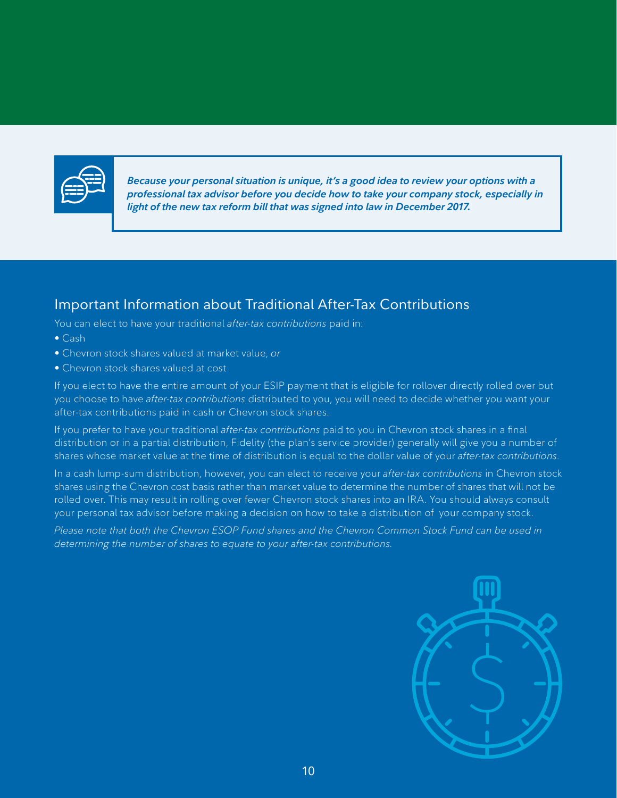

*Because your personal situation is unique, it's a good idea to review your options with a professional tax advisor before you decide how to take your company stock, especially in light of the new tax reform bill that was signed into law in December 2017.*

## Important Information about Traditional After-Tax Contributions

You can elect to have your traditional *after-tax contributions* paid in:

- Cash
- Chevron stock shares valued at market value, *or*
- Chevron stock shares valued at cost

If you elect to have the entire amount of your ESIP payment that is eligible for rollover directly rolled over but you choose to have *after-tax contributions* distributed to you, you will need to decide whether you want your after-tax contributions paid in cash or Chevron stock shares.

If you prefer to have your traditional *after-tax contributions* paid to you in Chevron stock shares in a final distribution or in a partial distribution, Fidelity (the plan's service provider) generally will give you a number of shares whose market value at the time of distribution is equal to the dollar value of your *after-tax contributions*.

In a cash lump-sum distribution, however, you can elect to receive your *after-tax contributions* in Chevron stock shares using the Chevron cost basis rather than market value to determine the number of shares that will not be rolled over. This may result in rolling over fewer Chevron stock shares into an IRA. You should always consult your personal tax advisor before making a decision on how to take a distribution of your company stock.

*Please note that both the Chevron ESOP Fund shares and the Chevron Common Stock Fund can be used in determining the number of shares to equate to your after-tax contributions.*

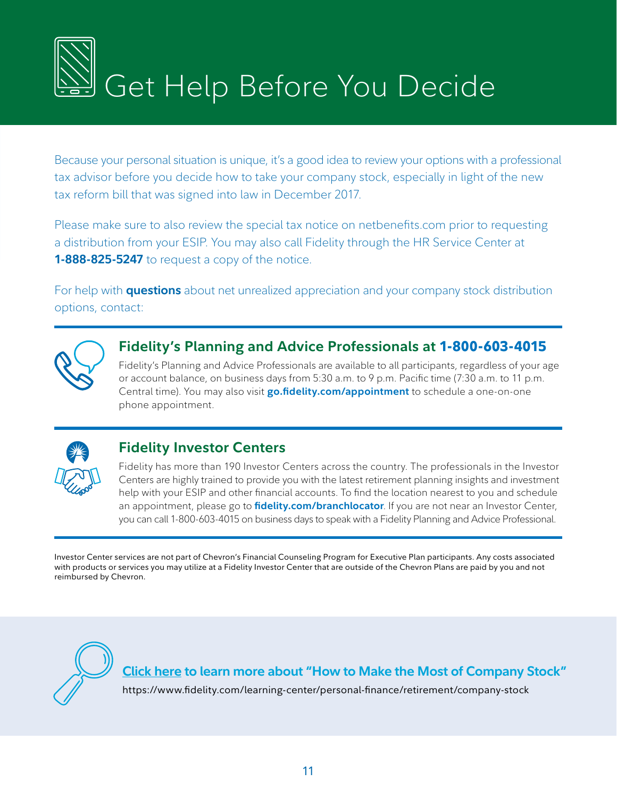

Because your personal situation is unique, it's a good idea to review your options with a professional tax advisor before you decide how to take your company stock, especially in light of the new tax reform bill that was signed into law in December 2017.

Please make sure to also review the special tax notice on netbenefits.com prior to requesting a distribution from your ESIP. You may also call Fidelity through the HR Service Center at **1-888-825-5247** to request a copy of the notice.

For help with **questions** about net unrealized appreciation and your company stock distribution options, contact:



## **Fidelity's Planning and Advice Professionals at 1-800-603-4015**

Fidelity's Planning and Advice Professionals are available to all participants, regardless of your age or account balance, on business days from 5:30 a.m. to 9 p.m. Pacific time (7:30 a.m. to 11 p.m. Central time). You may also visit **[go.fidelity.com/appointment](http://go.fidelity.com/appointment)** to schedule a one-on-one phone appointment.



## **Fidelity Investor Centers**

Fidelity has more than 190 Investor Centers across the country. The professionals in the Investor Centers are highly trained to provide you with the latest retirement planning insights and investment help with your ESIP and other financial accounts. To find the location nearest to you and schedule an appointment, please go to **[fidelity.com/branchlocator](http://fidelity.com/branchlocator)**. If you are not near an Investor Center, you can call 1-800-603-4015 on business days to speak with a Fidelity Planning and Advice Professional.

Investor Center services are not part of Chevron's Financial Counseling Program for Executive Plan participants. Any costs associated with products or services you may utilize at a Fidelity Investor Center that are outside of the Chevron Plans are paid by you and not reimbursed by Chevron.



**[Click here to learn more about "How to Make the Most of Company Stock"](https://www.fidelity.com/learning-center/personal-finance/retirement/company-stock)**

https://www.fidelity.com/learning-center/personal-finance/retirement/company-stock